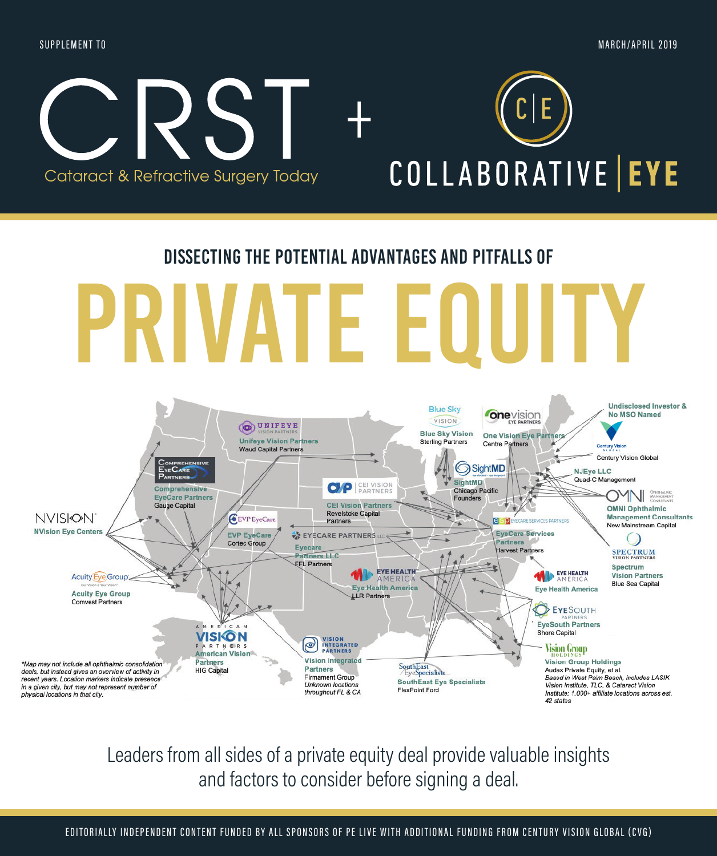### SUPPLEMENT TO MARCH/APRIL 2019



### Dissecting the potential advantages and pitfalls of

# private equity



Leaders from all sides of a private equity deal provide valuable insights and factors to consider before signing a deal.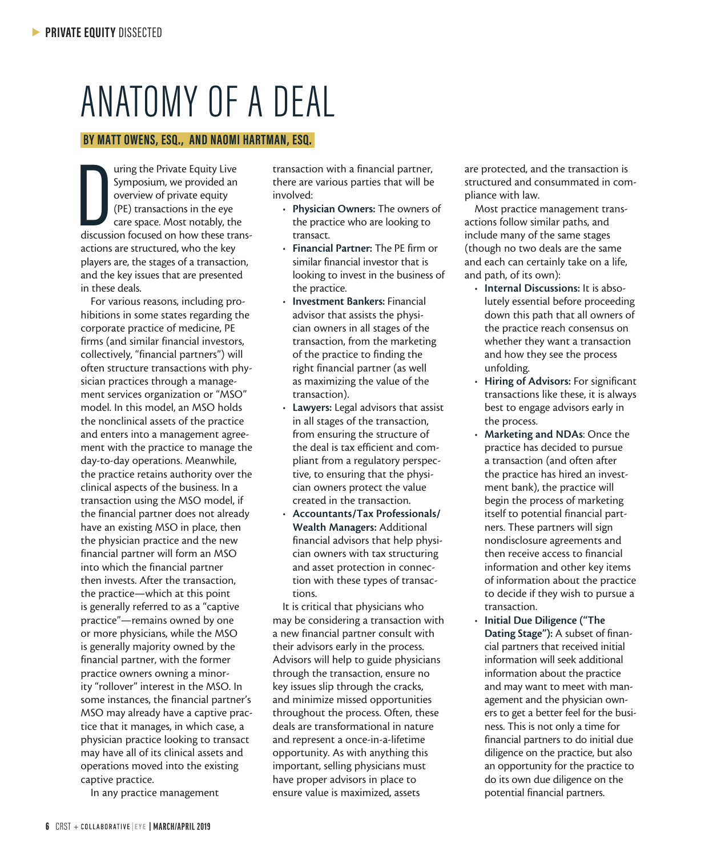## ANATOMY OF A DEAL

### **BY MATT OWENS, ESQ., AND NAOMI HARTMAN, ESQ.**

 $\prod_{\text{discuss}}$ uring the Private Equity Live Symposium, we provided an overview of private equity (PE) transactions in the eye care space. Most notably, the discussion focused on how these transactions are structured, who the key players are, the stages of a transaction, and the key issues that are presented in these deals.

For various reasons, including prohibitions in some states regarding the corporate practice of medicine, PE firms (and similar financial investors, collectively, "financial partners") will often structure transactions with physician practices through a management services organization or "MSO" model. In this model, an MSO holds the nonclinical assets of the practice and enters into a management agreement with the practice to manage the day-to-day operations. Meanwhile, the practice retains authority over the clinical aspects of the business. In a transaction using the MSO model, if the financial partner does not already have an existing MSO in place, then the physician practice and the new financial partner will form an MSO into which the financial partner then invests. After the transaction, the practice—which at this point is generally referred to as a "captive practice"—remains owned by one or more physicians, while the MSO is generally majority owned by the financial partner, with the former practice owners owning a minority "rollover" interest in the MSO. In some instances, the financial partner's MSO may already have a captive practice that it manages, in which case, a physician practice looking to transact may have all of its clinical assets and operations moved into the existing captive practice.

In any practice management

transaction with a financial partner, there are various parties that will be involved:

- Physician Owners: The owners of the practice who are looking to transact.
- Financial Partner: The PE firm or similar financial investor that is looking to invest in the business of the practice.
- Investment Bankers: Financial advisor that assists the physician owners in all stages of the transaction, from the marketing of the practice to finding the right financial partner (as well as maximizing the value of the transaction).
- Lawyers: Legal advisors that assist in all stages of the transaction, from ensuring the structure of the deal is tax efficient and compliant from a regulatory perspective, to ensuring that the physician owners protect the value created in the transaction.
- Accountants/Tax Professionals/ Wealth Managers: Additional financial advisors that help physician owners with tax structuring and asset protection in connection with these types of transactions.

It is critical that physicians who may be considering a transaction with a new financial partner consult with their advisors early in the process. Advisors will help to guide physicians through the transaction, ensure no key issues slip through the cracks, and minimize missed opportunities throughout the process. Often, these deals are transformational in nature and represent a once-in-a-lifetime opportunity. As with anything this important, selling physicians must have proper advisors in place to ensure value is maximized, assets

are protected, and the transaction is structured and consummated in compliance with law.

Most practice management transactions follow similar paths, and include many of the same stages (though no two deals are the same and each can certainly take on a life, and path, of its own):

- Internal Discussions: It is absolutely essential before proceeding down this path that all owners of the practice reach consensus on whether they want a transaction and how they see the process unfolding.
- Hiring of Advisors: For significant transactions like these, it is always best to engage advisors early in the process.
- Marketing and NDAs: Once the practice has decided to pursue a transaction (and often after the practice has hired an investment bank), the practice will begin the process of marketing itself to potential financial partners. These partners will sign nondisclosure agreements and then receive access to financial information and other key items of information about the practice to decide if they wish to pursue a transaction.
- Initial Due Diligence ("The Dating Stage"): A subset of financial partners that received initial information will seek additional information about the practice and may want to meet with management and the physician owners to get a better feel for the business. This is not only a time for financial partners to do initial due diligence on the practice, but also an opportunity for the practice to do its own due diligence on the potential financial partners.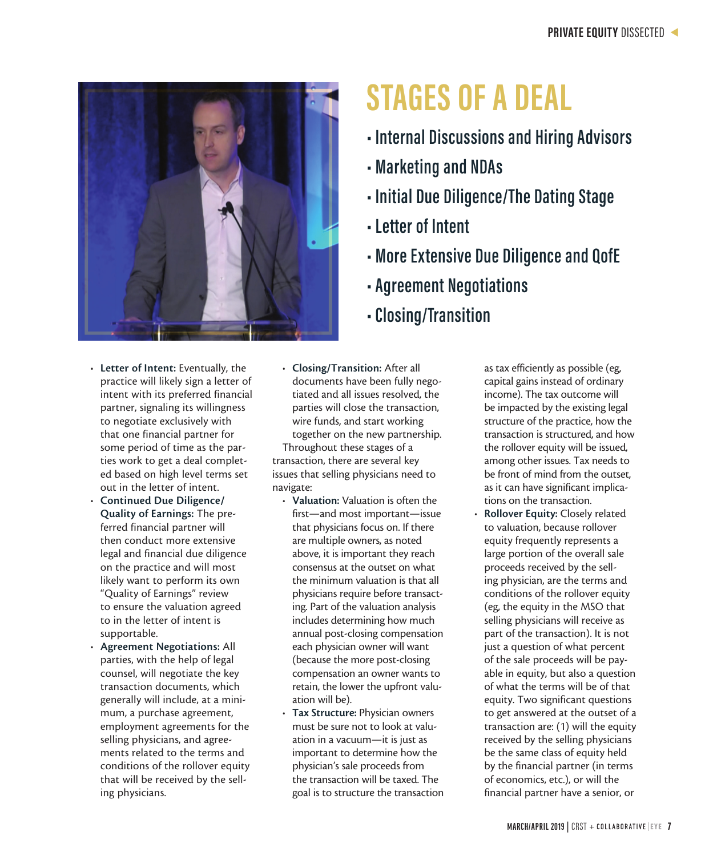

- Letter of Intent: Eventually, the practice will likely sign a letter of intent with its preferred financial partner, signaling its willingness to negotiate exclusively with that one financial partner for some period of time as the parties work to get a deal completed based on high level terms set out in the letter of intent.
- Continued Due Diligence/ Quality of Earnings: The preferred financial partner will then conduct more extensive legal and financial due diligence on the practice and will most likely want to perform its own "Quality of Earnings" review to ensure the valuation agreed to in the letter of intent is supportable.
- Agreement Negotiations: All parties, with the help of legal counsel, will negotiate the key transaction documents, which generally will include, at a minimum, a purchase agreement, employment agreements for the selling physicians, and agreements related to the terms and conditions of the rollover equity that will be received by the selling physicians.
- Closing/Transition: After all documents have been fully negotiated and all issues resolved, the parties will close the transaction, wire funds, and start working together on the new partnership. Throughout these stages of a transaction, there are several key issues that selling physicians need to navigate:
	- Valuation: Valuation is often the first—and most important—issue that physicians focus on. If there are multiple owners, as noted above, it is important they reach consensus at the outset on what the minimum valuation is that all physicians require before transacting. Part of the valuation analysis includes determining how much annual post-closing compensation each physician owner will want (because the more post-closing compensation an owner wants to retain, the lower the upfront valuation will be).
	- Tax Structure: Physician owners must be sure not to look at valuation in a vacuum—it is just as important to determine how the physician's sale proceeds from the transaction will be taxed. The goal is to structure the transaction

## **STAGES OF A DEAL**

- **Internal Discussions and Hiring Advisors**
- **Marketing and NDAs**
- **Initial Due Diligence/The Dating Stage**
- **Letter of Intent**
- **More Extensive Due Diligence and QofE**
- **Agreement Negotiations**
- **Closing/Transition**

as tax efficiently as possible (eg, capital gains instead of ordinary income). The tax outcome will be impacted by the existing legal structure of the practice, how the transaction is structured, and how the rollover equity will be issued, among other issues. Tax needs to be front of mind from the outset, as it can have significant implications on the transaction.

Rollover Equity: Closely related to valuation, because rollover equity frequently represents a large portion of the overall sale proceeds received by the selling physician, are the terms and conditions of the rollover equity (eg, the equity in the MSO that selling physicians will receive as part of the transaction). It is not just a question of what percent of the sale proceeds will be payable in equity, but also a question of what the terms will be of that equity. Two significant questions to get answered at the outset of a transaction are: (1) will the equity received by the selling physicians be the same class of equity held by the financial partner (in terms of economics, etc.), or will the financial partner have a senior, or